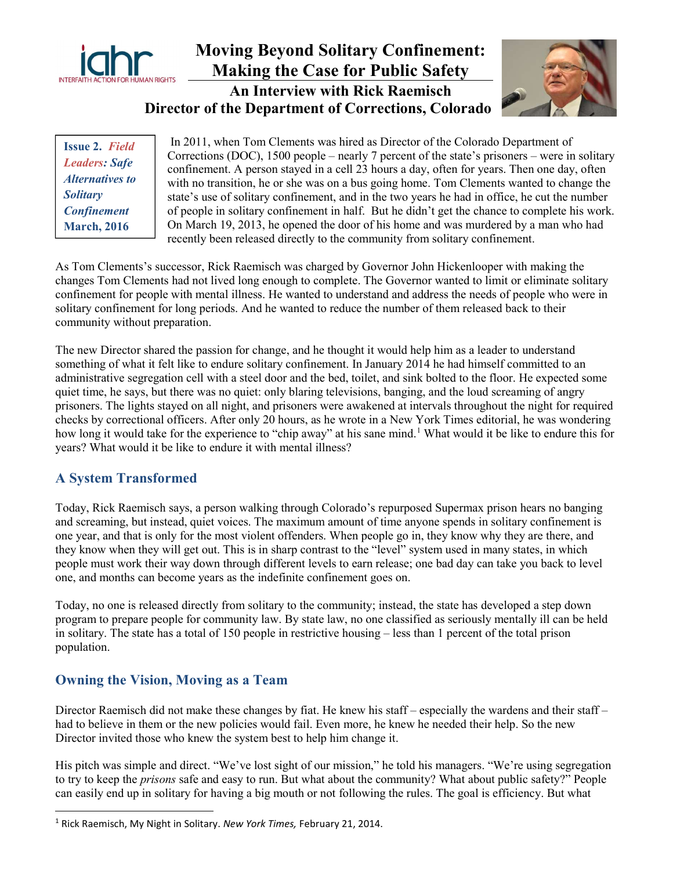

# Moving Beyond Solitary Confinement: Making the Case for Public Safety An Interview with Rick Raemisch Director of the Department of Corrections, Colorado



Issue 2. Field Leaders: Safe Alternatives to **Solitary Confinement** March, 2016

 In 2011, when Tom Clements was hired as Director of the Colorado Department of Corrections (DOC), 1500 people – nearly 7 percent of the state's prisoners – were in solitary confinement. A person stayed in a cell 23 hours a day, often for years. Then one day, often with no transition, he or she was on a bus going home. Tom Clements wanted to change the state's use of solitary confinement, and in the two years he had in office, he cut the number of people in solitary confinement in half. But he didn't get the chance to complete his work. On March 19, 2013, he opened the door of his home and was murdered by a man who had recently been released directly to the community from solitary confinement.

As Tom Clements's successor, Rick Raemisch was charged by Governor John Hickenlooper with making the changes Tom Clements had not lived long enough to complete. The Governor wanted to limit or eliminate solitary confinement for people with mental illness. He wanted to understand and address the needs of people who were in solitary confinement for long periods. And he wanted to reduce the number of them released back to their community without preparation.

The new Director shared the passion for change, and he thought it would help him as a leader to understand something of what it felt like to endure solitary confinement. In January 2014 he had himself committed to an administrative segregation cell with a steel door and the bed, toilet, and sink bolted to the floor. He expected some quiet time, he says, but there was no quiet: only blaring televisions, banging, and the loud screaming of angry prisoners. The lights stayed on all night, and prisoners were awakened at intervals throughout the night for required checks by correctional officers. After only 20 hours, as he wrote in a New York Times editorial, he was wondering how long it would take for the experience to "chip away" at his sane mind.<sup>1</sup> What would it be like to endure this for years? What would it be like to endure it with mental illness?

### A System Transformed

Today, Rick Raemisch says, a person walking through Colorado's repurposed Supermax prison hears no banging and screaming, but instead, quiet voices. The maximum amount of time anyone spends in solitary confinement is one year, and that is only for the most violent offenders. When people go in, they know why they are there, and they know when they will get out. This is in sharp contrast to the "level" system used in many states, in which people must work their way down through different levels to earn release; one bad day can take you back to level one, and months can become years as the indefinite confinement goes on.

Today, no one is released directly from solitary to the community; instead, the state has developed a step down program to prepare people for community law. By state law, no one classified as seriously mentally ill can be held in solitary. The state has a total of 150 people in restrictive housing – less than 1 percent of the total prison population.

### Owning the Vision, Moving as a Team

Director Raemisch did not make these changes by fiat. He knew his staff – especially the wardens and their staff – had to believe in them or the new policies would fail. Even more, he knew he needed their help. So the new Director invited those who knew the system best to help him change it.

His pitch was simple and direct. "We've lost sight of our mission," he told his managers. "We're using segregation to try to keep the *prisons* safe and easy to run. But what about the community? What about public safety?" People can easily end up in solitary for having a big mouth or not following the rules. The goal is efficiency. But what

<sup>&</sup>lt;sup>1</sup> Rick Raemisch, My Night in Solitary. New York Times, February 21, 2014.